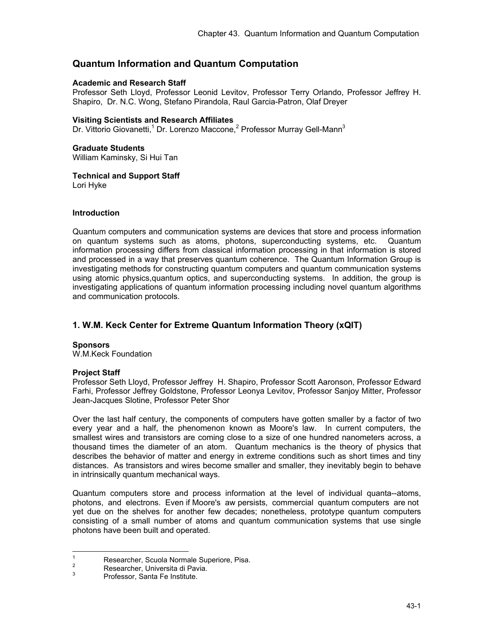# **Quantum Information and Quantum Computation**

#### **Academic and Research Staff**

Professor Seth Lloyd, Professor Leonid Levitov, Professor Terry Orlando, Professor Jeffrey H. Shapiro, Dr. N.C. Wong, Stefano Pirandola, Raul Garcia-Patron, Olaf Dreyer

#### **Visiting Scientists and Research Affiliates**

Dr. Vittorio Giovanetti,<sup>1</sup> Dr. Lorenzo Maccone,<sup>2</sup> Professor Murray Gell-Mann<sup>3</sup>

### **Graduate Students**

William Kaminsky, Si Hui Tan

### **Technical and Support Staff**

Lori Hyke

#### **Introduction**

Quantum computers and communication systems are devices that store and process information on quantum systems such as atoms, photons, superconducting systems, etc. Quantum information processing differs from classical information processing in that information is stored and processed in a way that preserves quantum coherence. The Quantum Information Group is investigating methods for constructing quantum computers and quantum communication systems using atomic physics,quantum optics, and superconducting systems. In addition, the group is investigating applications of quantum information processing including novel quantum algorithms and communication protocols.

## **1. W.M. Keck Center for Extreme Quantum Information Theory (xQIT)**

#### **Sponsors**

W.M.Keck Foundation

#### **Project Staff**

Professor Seth Lloyd, Professor Jeffrey H. Shapiro, Professor Scott Aaronson, Professor Edward Farhi, Professor Jeffrey Goldstone, Professor Leonya Levitov, Professor Sanjoy Mitter, Professor Jean-Jacques Slotine, Professor Peter Shor

Over the last half century, the components of computers have gotten smaller by a factor of two every year and a half, the phenomenon known as Moore's law. In current computers, the smallest wires and transistors are coming close to a size of one hundred nanometers across, a thousand times the diameter of an atom. Quantum mechanics is the theory of physics that describes the behavior of matter and energy in extreme conditions such as short times and tiny distances. As transistors and wires become smaller and smaller, they inevitably begin to behave in intrinsically quantum mechanical ways.

Quantum computers store and process information at the level of individual quanta--atoms, photons, and electrons. Even if Moore's aw persists, commercial quantum computers are not yet due on the shelves for another few decades; nonetheless, prototype quantum computers consisting of a small number of atoms and quantum communication systems that use single photons have been built and operated.

 $\frac{1}{1}$  Researcher, Scuola Normale Superiore, Pisa. 2

Researcher, Universita di Pavia. 3

Professor, Santa Fe Institute.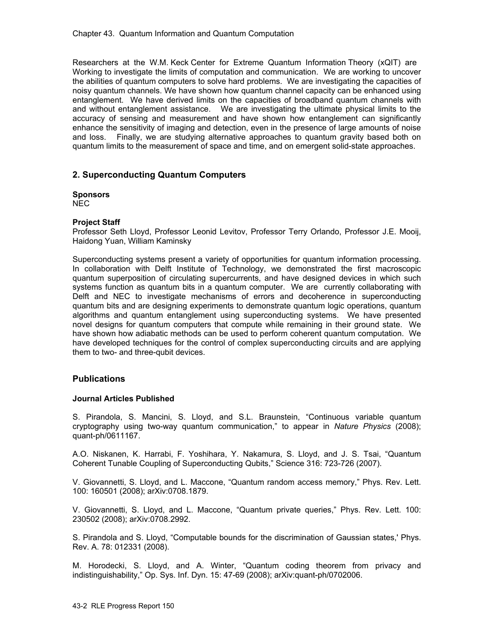Researchers at the W.M. Keck Center for Extreme Quantum Information Theory (xQIT) are Working to investigate the limits of computation and communication. We are working to uncover the abilities of quantum computers to solve hard problems. We are investigating the capacities of noisy quantum channels. We have shown how quantum channel capacity can be enhanced using entanglement. We have derived limits on the capacities of broadband quantum channels with and without entanglement assistance. We are investigating the ultimate physical limits to the accuracy of sensing and measurement and have shown how entanglement can significantly enhance the sensitivity of imaging and detection, even in the presence of large amounts of noise and loss. Finally, we are studying alternative approaches to quantum gravity based both on quantum limits to the measurement of space and time, and on emergent solid-state approaches.

## **2. Superconducting Quantum Computers**

## **Sponsors**

NEC

#### **Project Staff**

Professor Seth Lloyd, Professor Leonid Levitov, Professor Terry Orlando, Professor J.E. Mooij, Haidong Yuan, William Kaminsky

Superconducting systems present a variety of opportunities for quantum information processing. In collaboration with Delft Institute of Technology, we demonstrated the first macroscopic quantum superposition of circulating supercurrents, and have designed devices in which such systems function as quantum bits in a quantum computer. We are currently collaborating with Delft and NEC to investigate mechanisms of errors and decoherence in superconducting quantum bits and are designing experiments to demonstrate quantum logic operations, quantum algorithms and quantum entanglement using superconducting systems. We have presented novel designs for quantum computers that compute while remaining in their ground state. We have shown how adiabatic methods can be used to perform coherent quantum computation. We have developed techniques for the control of complex superconducting circuits and are applying them to two- and three-qubit devices.

#### **Publications**

#### **Journal Articles Published**

S. Pirandola, S. Mancini, S. Lloyd, and S.L. Braunstein, "Continuous variable quantum cryptography using two-way quantum communication," to appear in *Nature Physics* (2008); quant-ph/0611167.

A.O. Niskanen, K. Harrabi, F. Yoshihara, Y. Nakamura, S. Lloyd, and J. S. Tsai, "Quantum Coherent Tunable Coupling of Superconducting Qubits," Science 316: 723-726 (2007).

V. Giovannetti, S. Lloyd, and L. Maccone, "Quantum random access memory," Phys. Rev. Lett. 100: 160501 (2008); arXiv:0708.1879.

V. Giovannetti, S. Lloyd, and L. Maccone, "Quantum private queries," Phys. Rev. Lett. 100: 230502 (2008); arXiv:0708.2992.

S. Pirandola and S. Lloyd, "Computable bounds for the discrimination of Gaussian states,' Phys. Rev. A. 78: 012331 (2008).

M. Horodecki, S. Lloyd, and A. Winter, "Quantum coding theorem from privacy and indistinguishability," Op. Sys. Inf. Dyn. 15: 47-69 (2008); arXiv:quant-ph/0702006.